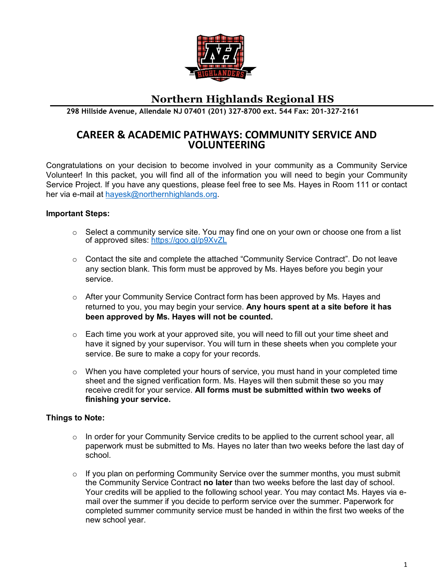

# **Northern Highlands Regional HS**

**298 Hillside Avenue, Allendale NJ 07401 (201) 327-8700 ext. 544 Fax: 201-327-2161**

# **CAREER & ACADEMIC PATHWAYS: COMMUNITY SERVICE AND VOLUNTEERING**

Congratulations on your decision to become involved in your community as a Community Service Volunteer! In this packet, you will find all of the information you will need to begin your Community Service Project. If you have any questions, please feel free to see Ms. Hayes in Room 111 or contact her via e-mail at [hayesk@northernhighlands.org.](mailto:hayesk@northernhighlands.org)

#### **Important Steps:**

- $\circ$  Select a community service site. You may find one on your own or choose one from a list of approved sites: <https://goo.gl/p9XvZL>
- $\circ$  Contact the site and complete the attached "Community Service Contract". Do not leave any section blank. This form must be approved by Ms. Hayes before you begin your service.
- o After your Community Service Contract form has been approved by Ms. Hayes and returned to you, you may begin your service. **Any hours spent at a site before it has been approved by Ms. Hayes will not be counted.**
- $\circ$  Each time you work at your approved site, you will need to fill out your time sheet and have it signed by your supervisor. You will turn in these sheets when you complete your service. Be sure to make a copy for your records.
- $\circ$  When you have completed your hours of service, you must hand in your completed time sheet and the signed verification form. Ms. Hayes will then submit these so you may receive credit for your service. **All forms must be submitted within two weeks of finishing your service.**

#### **Things to Note:**

- $\circ$  In order for your Community Service credits to be applied to the current school year, all paperwork must be submitted to Ms. Hayes no later than two weeks before the last day of school.
- $\circ$  If you plan on performing Community Service over the summer months, you must submit the Community Service Contract **no later** than two weeks before the last day of school. Your credits will be applied to the following school year. You may contact Ms. Hayes via email over the summer if you decide to perform service over the summer. Paperwork for completed summer community service must be handed in within the first two weeks of the new school year.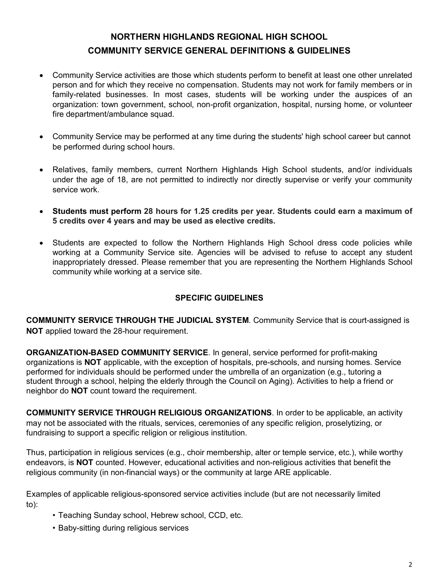# **NORTHERN HIGHLANDS REGIONAL HIGH SCHOOL COMMUNITY SERVICE GENERAL DEFINITIONS & GUIDELINES**

- Community Service activities are those which students perform to benefit at least one other unrelated person and for which they receive no compensation. Students may not work for family members or in family-related businesses. In most cases, students will be working under the auspices of an organization: town government, school, non-profit organization, hospital, nursing home, or volunteer fire department/ambulance squad.
- Community Service may be performed at any time during the students' high school career but cannot be performed during school hours.
- Relatives, family members, current Northern Highlands High School students, and/or individuals under the age of 18, are not permitted to indirectly nor directly supervise or verify your community service work.
- **Students must perform 28 hours for 1.25 credits per year. Students could earn a maximum of 5 credits over 4 years and may be used as elective credits.**
- Students are expected to follow the Northern Highlands High School dress code policies while working at a Community Service site. Agencies will be advised to refuse to accept any student inappropriately dressed. Please remember that you are representing the Northern Highlands School community while working at a service site.

# **SPECIFIC GUIDELINES**

**COMMUNITY SERVICE THROUGH THE JUDICIAL SYSTEM**. Community Service that is court-assigned is **NOT** applied toward the 28-hour requirement.

**ORGANIZATION-BASED COMMUNITY SERVICE**. In general, service performed for profit-making organizations is **NOT** applicable, with the exception of hospitals, pre-schools, and nursing homes. Service performed for individuals should be performed under the umbrella of an organization (e.g., tutoring a student through a school, helping the elderly through the Council on Aging). Activities to help a friend or neighbor do **NOT** count toward the requirement.

**COMMUNITY SERVICE THROUGH RELIGIOUS ORGANIZATIONS**. In order to be applicable, an activity may not be associated with the rituals, services, ceremonies of any specific religion, proselytizing, or fundraising to support a specific religion or religious institution.

Thus, participation in religious services (e.g., choir membership, alter or temple service, etc.), while worthy endeavors, is **NOT** counted. However, educational activities and non-religious activities that benefit the religious community (in non-financial ways) or the community at large ARE applicable.

Examples of applicable religious-sponsored service activities include (but are not necessarily limited to):

- Teaching Sunday school, Hebrew school, CCD, etc.
- Baby-sitting during religious services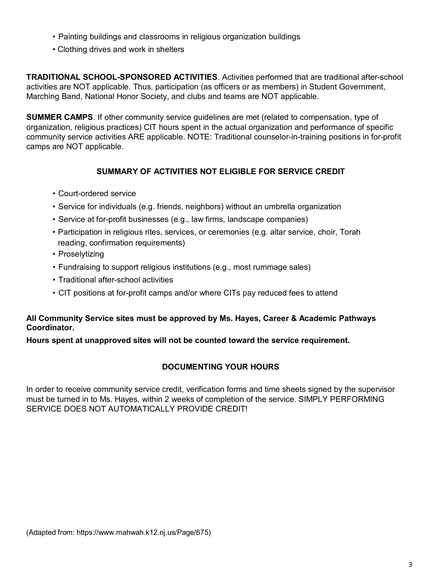- Painting buildings and classrooms in religious organization buildings
- Clothing drives and work in shelters

**TRADITIONAL SCHOOL-SPONSORED ACTIVITIES**. Activities performed that are traditional after-school activities are NOT applicable. Thus, participation (as officers or as members) in Student Government, Marching Band, National Honor Society, and clubs and teams are NOT applicable.

**SUMMER CAMPS**. If other community service guidelines are met (related to compensation, type of organization, religious practices) CIT hours spent in the actual organization and performance of specific community service activities ARE applicable. NOTE: Traditional counselor-in-training positions in for-profit camps are NOT applicable.

### **SUMMARY OF ACTIVITIES NOT ELIGIBLE FOR SERVICE CREDIT**

- Court-ordered service
- Service for individuals (e.g. friends, neighbors) without an umbrella organization
- Service at for-profit businesses (e.g., law firms, landscape companies)
- Participation in religious rites, services, or ceremonies (e.g. altar service, choir, Torah reading, confirmation requirements)
- Proselytizing
- Fundraising to support religious institutions (e.g., most rummage sales)
- Traditional after-school activities
- CIT positions at for-profit camps and/or where CITs pay reduced fees to attend

#### **All Community Service sites must be approved by Ms. Hayes, Career & Academic Pathways Coordinator.**

**Hours spent at unapproved sites will not be counted toward the service requirement.**

# **DOCUMENTING YOUR HOURS**

In order to receive community service credit, verification forms and time sheets signed by the supervisor must be turned in to Ms. Hayes, within 2 weeks of completion of the service. SIMPLY PERFORMING SERVICE DOES NOT AUTOMATICALLY PROVIDE CREDIT!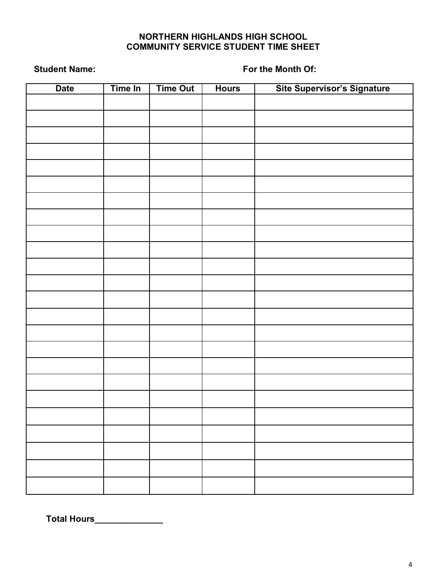# **NORTHERN HIGHLANDS HIGH SCHOOL COMMUNITY SERVICE STUDENT TIME SHEET**

**Student Name: For the Month Of:**

| <b>Date</b> | Time In | <b>Time Out</b> | <b>Hours</b> | Site Supervisor's Signature |
|-------------|---------|-----------------|--------------|-----------------------------|
|             |         |                 |              |                             |
|             |         |                 |              |                             |
|             |         |                 |              |                             |
|             |         |                 |              |                             |
|             |         |                 |              |                             |
|             |         |                 |              |                             |
|             |         |                 |              |                             |
|             |         |                 |              |                             |
|             |         |                 |              |                             |
|             |         |                 |              |                             |
|             |         |                 |              |                             |
|             |         |                 |              |                             |
|             |         |                 |              |                             |
|             |         |                 |              |                             |
|             |         |                 |              |                             |
|             |         |                 |              |                             |
|             |         |                 |              |                             |
|             |         |                 |              |                             |
|             |         |                 |              |                             |
|             |         |                 |              |                             |
|             |         |                 |              |                             |
|             |         |                 |              |                             |
|             |         |                 |              |                             |
|             |         |                 |              |                             |
|             |         |                 |              |                             |
|             |         |                 |              |                             |
|             |         |                 |              |                             |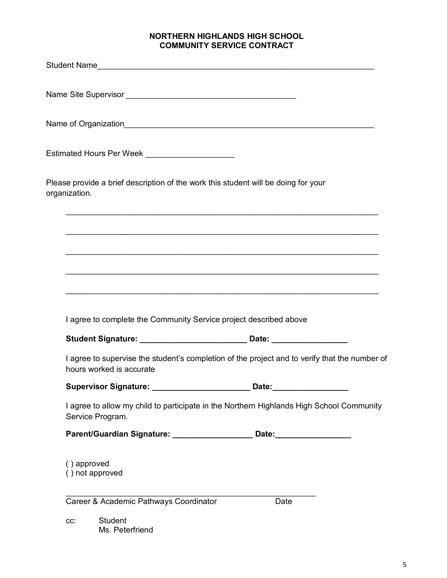#### **NORTHERN HIGHLANDS HIGH SCHOOL COMMUNITY SERVICE CONTRACT**

|               | Estimated Hours Per Week _____________________                                                                            |
|---------------|---------------------------------------------------------------------------------------------------------------------------|
| organization. | Please provide a brief description of the work this student will be doing for your                                        |
|               |                                                                                                                           |
|               |                                                                                                                           |
|               |                                                                                                                           |
|               | I agree to complete the Community Service project described above                                                         |
|               | Student Signature: _________________________________ Date: _____________________                                          |
|               | I agree to supervise the student's completion of the project and to verify that the number of<br>hours worked is accurate |
|               |                                                                                                                           |
|               | I agree to allow my child to participate in the Northern Highlands High School Community<br>Service Program.              |
|               | Parent/Guardian Signature: _____________________ Date: _________________________                                          |
| () approved   | () not approved                                                                                                           |
|               | Career & Academic Pathways Coordinator<br>Date                                                                            |
| CC:           | <b>Student</b><br>Ms. Peterfriend                                                                                         |